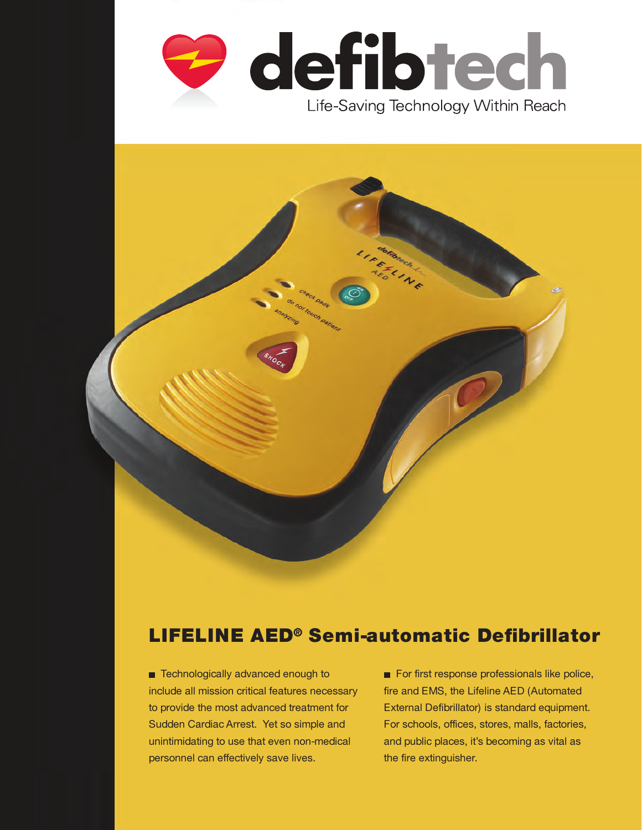



# LIFELINE AED® Semi-automatic Defibrillator

■ Technologically advanced enough to include all mission critical features necessary to provide the most advanced treatment for Sudden Cardiac Arrest. Yet so simple and unintimidating to use that even non-medical personnel can effectively save lives.

For first response professionals like police, fire and EMS, the Lifeline AED (Automated External Defibrillator) is standard equipment. For schools, offices, stores, malls, factories, and public places, it's becoming as vital as the fire extinguisher.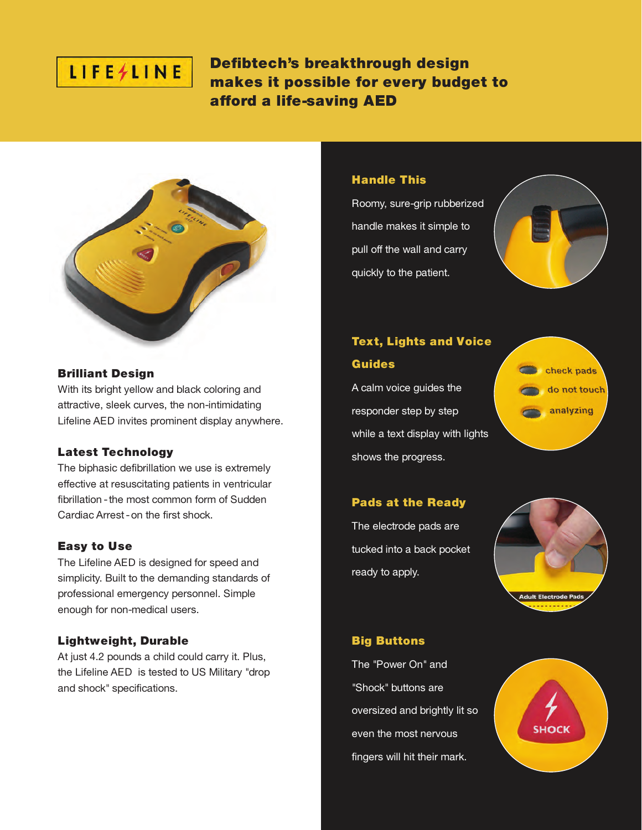# LIFE/LINE

Defibtech's breakthrough design makes it possible for every budget to afford a life-saving AED



#### Brilliant Design

With its bright yellow and black coloring and attractive, sleek curves, the non-intimidating Lifeline AED invites prominent display anywhere.

# Latest Technology

The biphasic defibrillation we use is extremely effective at resuscitating patients in ventricular fibrillation - the most common form of Sudden Cardiac Arrest -on the first shock.

# Easy to Use

The Lifeline AED is designed for speed and simplicity. Built to the demanding standards of professional emergency personnel. Simple enough for non-medical users.

# Lightweight, Durable

At just 4.2 pounds a child could carry it. Plus, the Lifeline AED is tested to US Military "drop and shock" specifications.

# Handle This

Roomy, sure-grip rubberized handle makes it simple to pull off the wall and carry quickly to the patient.



# **Text, Lights and Voice**

# Guides

A calm voice guides the responder step by step while a text display with lights shows the progress.



# Pads at the Ready

The electrode pads are tucked into a back pocket ready to apply.



# Big Buttons

The "Power On" and "Shock" buttons are oversized and brightly lit so even the most nervous fingers will hit their mark.

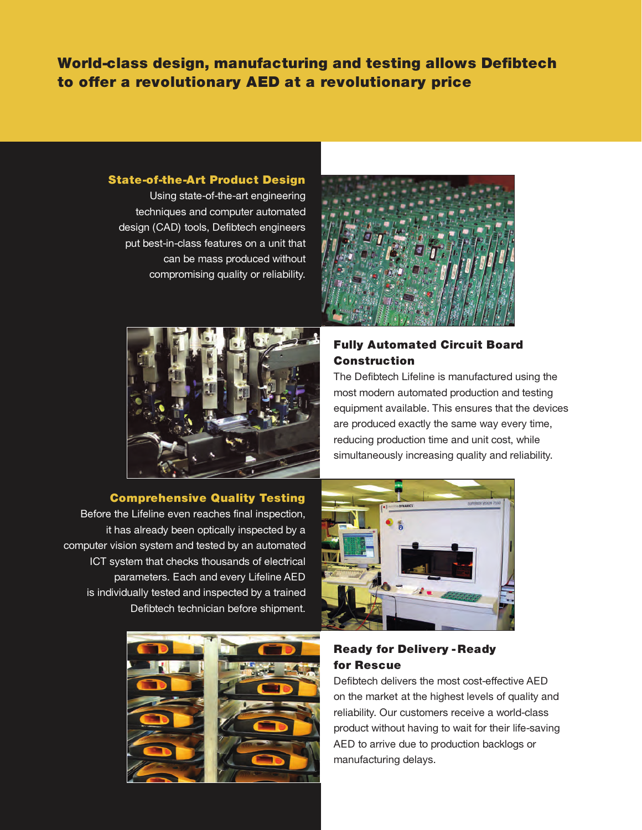World-class design, manufacturing and testing allows Defibtech to offer a revolutionary AED at a revolutionary price

#### State-of-the-Art Product Design

Using state-of-the-art engineering techniques and computer automated design (CAD) tools, Defibtech engineers put best-in-class features on a unit that can be mass produced without compromising quality or reliability.





# Comprehensive Quality Testing

Before the Lifeline even reaches final inspection, it has already been optically inspected by a computer vision system and tested by an automated ICT system that checks thousands of electrical parameters. Each and every Lifeline AED is individually tested and inspected by a trained Defibtech technician before shipment.





# Ready for Delivery - Ready for Rescue

Defibtech delivers the most cost-effective AED on the market at the highest levels of quality and reliability. Our customers receive a world-class product without having to wait for their life-saving AED to arrive due to production backlogs or manufacturing delays.

# Fully Automated Circuit Board Construction

The Defibtech Lifeline is manufactured using the most modern automated production and testing equipment available. This ensures that the devices are produced exactly the same way every time, reducing production time and unit cost, while simultaneously increasing quality and reliability.